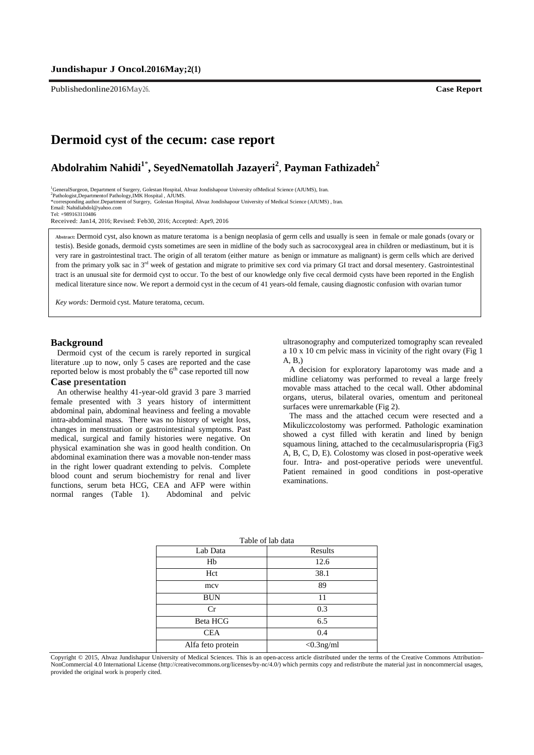Publishedonline2016May26. **Case Report**

## **Dermoid cyst of the cecum: case report**

# **2** , **Payman Fathizadeh <sup>2</sup> , SeyedNematollah Jazayeri <sup>1</sup>**\* **Abdolrahim Nahidi**

<sup>1</sup>GeneralSurgeon, Department of Surgery, Golestan Hospital, Ahvaz Jondishapour University ofMedical Science (AJUMS), Iran.

2 Pathologist,Departmentof Pathology,IMK Hospital , AJUMS. \*corresponding author.Department of Surgery, Golestan Hospital, Ahvaz Jondishapour University of Medical Science (AJUMS) , Iran.

Email: Nahidiabdol@yahoo.com

Tel: +989163110486

Received: Jan14, 2016; Revised: Feb30, 2016; Accepted: Apr9, 2016

**Abstract:** Dermoid cyst, also known as mature teratoma is a benign neoplasia of germ cells and usually is seen in female or male gonads (ovary or testis). Beside gonads, dermoid cysts sometimes are seen in midline of the body such as sacrocoxygeal area in children or mediastinum, but it is very rare in gastrointestinal tract. The origin of all teratom (either mature as benign or immature as malignant) is germ cells which are derived from the primary yolk sac in 3<sup>rd</sup> week of gestation and migrate to primitive sex cord via primary GI tract and dorsal mesentery. Gastrointestinal tract is an unusual site for dermoid cyst to occur. To the best of our knowledge only five cecal dermoid cysts have been reported in the English medical literature since now. We report a dermoid cyst in the cecum of 41 years-old female, causing diagnostic confusion with ovarian tumor

*Key words:* Dermoid cyst. Mature teratoma, cecum.

#### **Background**

Dermoid cyst of the cecum is rarely reported in surgical literature .up to now, only 5 cases are reported and the case reported below is most probably the  $6<sup>th</sup>$  case reported till now

## **Case presentation**

An otherwise healthy 41-year-old gravid 3 pare 3 married female presented with 3 years history of intermittent abdominal pain, abdominal heaviness and feeling a movable intra-abdominal mass. There was no history of weight loss, changes in menstruation or gastrointestinal symptoms. Past medical, surgical and family histories were negative. On physical examination she was in good health condition. On abdominal examination there was a movable non-tender mass in the right lower quadrant extending to pelvis. Complete blood count and serum biochemistry for renal and liver functions, serum beta HCG, CEA and AFP were within normal ranges (Table 1). Abdominal and pelvic

ultrasonography and computerized tomography scan revealed a 10 x 10 cm pelvic mass in vicinity of the right ovary (Fig 1 A, B,)

A decision for exploratory laparotomy was made and a midline celiatomy was performed to reveal a large freely movable mass attached to the cecal wall. Other abdominal organs, uterus, bilateral ovaries, omentum and peritoneal surfaces were unremarkable (Fig 2).

The mass and the attached cecum were resected and a Mikuliczcolostomy was performed. Pathologic examination showed a cyst filled with keratin and lined by benign squamous lining, attached to the cecalmusularispropria (Fig3 A, B, C, D, E). Colostomy was closed in post-operative week four. Intra- and post-operative periods were uneventful. Patient remained in good conditions in post-operative examinations.

| Table of lab data |              |
|-------------------|--------------|
| Lab Data          | Results      |
| Hb                | 12.6         |
| Hct               | 38.1         |
| mcy               | 89           |
| <b>BUN</b>        | 11           |
| Cr                | 0.3          |
| Beta HCG          | 6.5          |
| <b>CEA</b>        | 0.4          |
| Alfa feto protein | $<$ 0.3ng/ml |

Copyright © 2015, Ahvaz Jundishapur University of Medical Sciences. This is an open-access article distributed under the terms of the Creative Commons Attribution-NonCommercial 4.0 International License (http://creativecommons.org/licenses/by-nc/4.0/) which permits copy and redistribute the material just in noncommercial usages, provided the original work is properly cited.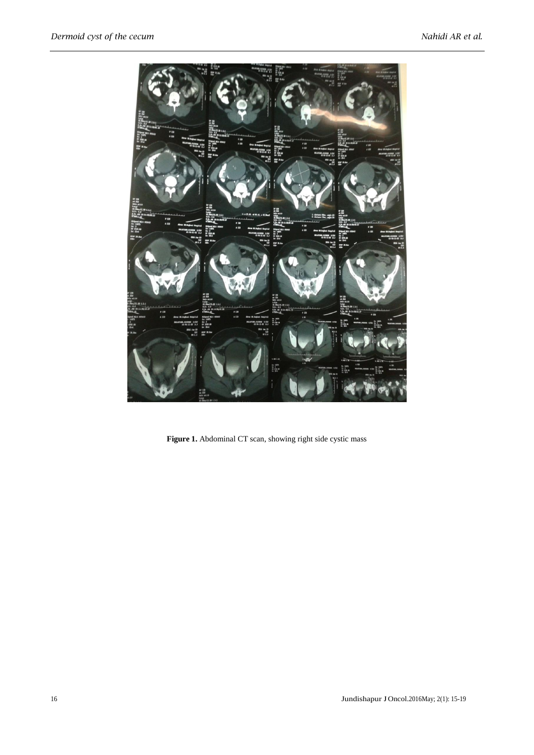

Figure 1. Abdominal CT scan, showing right side cystic mass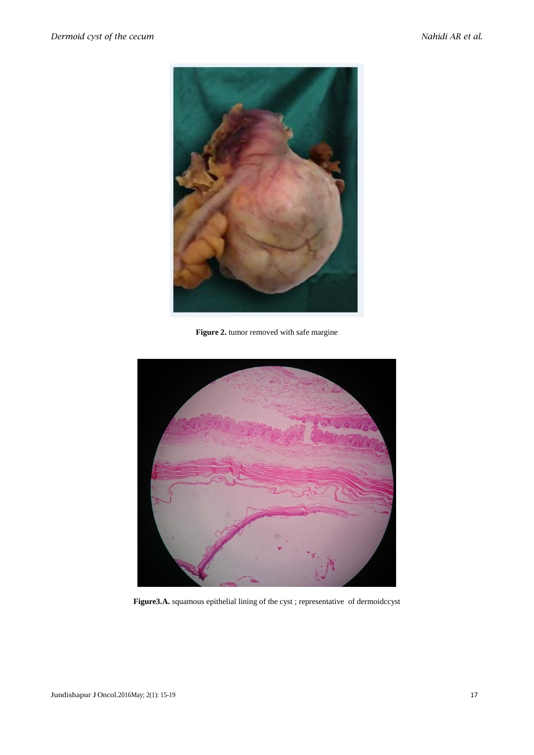

**Figure 2.** tumor removed with safe margine



**Figure3.A.** squamous epithelial lining of the cyst ; representative of dermoidccyst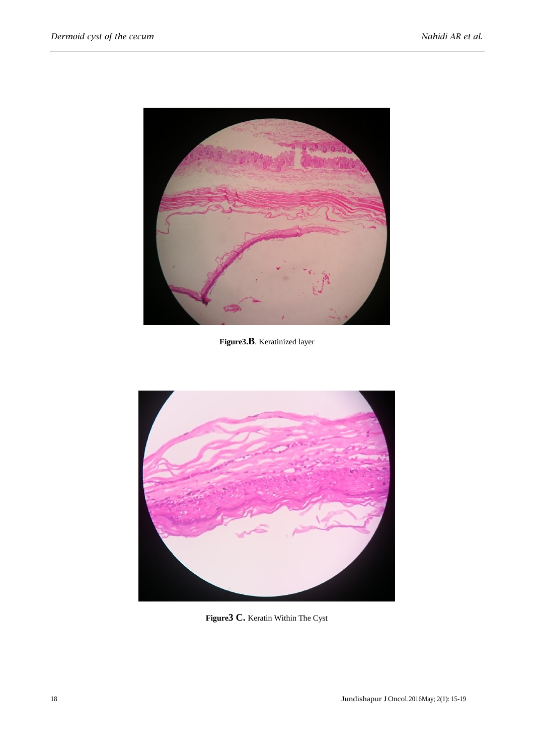

**Figure3.B**. Keratinized layer



**Figure3 C.** Keratin Within The Cyst